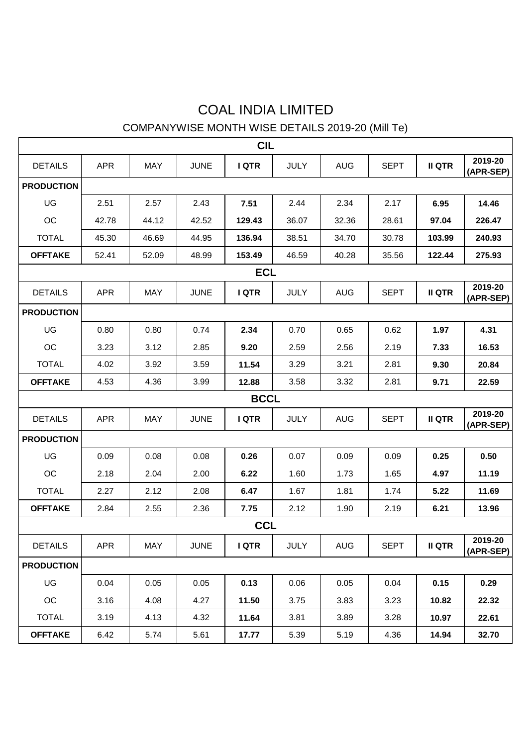## COAL INDIA LIMITED

## COMPANYWISE MONTH WISE DETAILS 2019-20 (Mill Te)

| <b>CIL</b>        |             |            |             |              |             |            |             |               |                      |  |  |  |
|-------------------|-------------|------------|-------------|--------------|-------------|------------|-------------|---------------|----------------------|--|--|--|
| <b>DETAILS</b>    | <b>APR</b>  | <b>MAY</b> | <b>JUNE</b> | <b>IQTR</b>  | <b>JULY</b> | <b>AUG</b> | <b>SEPT</b> | <b>II QTR</b> | 2019-20<br>(APR-SEP) |  |  |  |
| <b>PRODUCTION</b> |             |            |             |              |             |            |             |               |                      |  |  |  |
| UG                | 2.51        | 2.57       | 2.43        | 7.51         | 2.44        | 2.34       | 2.17        | 6.95          | 14.46                |  |  |  |
| <b>OC</b>         | 42.78       | 44.12      | 42.52       | 129.43       | 36.07       | 32.36      | 28.61       | 97.04         | 226.47               |  |  |  |
| <b>TOTAL</b>      | 45.30       | 46.69      | 44.95       | 136.94       | 38.51       | 34.70      | 30.78       | 103.99        | 240.93               |  |  |  |
| <b>OFFTAKE</b>    | 52.41       | 52.09      | 48.99       | 153.49       | 46.59       | 40.28      | 35.56       | 122.44        | 275.93               |  |  |  |
| <b>ECL</b>        |             |            |             |              |             |            |             |               |                      |  |  |  |
| <b>DETAILS</b>    | <b>APR</b>  | MAY        | <b>JUNE</b> | <b>IQTR</b>  | <b>JULY</b> | <b>AUG</b> | <b>SEPT</b> | <b>II QTR</b> | 2019-20<br>(APR-SEP) |  |  |  |
| <b>PRODUCTION</b> |             |            |             |              |             |            |             |               |                      |  |  |  |
| UG                | 0.80        | 0.80       | 0.74        | 2.34         | 0.70        | 0.65       | 0.62        | 1.97          | 4.31                 |  |  |  |
| <b>OC</b>         | 3.23        | 3.12       | 2.85        | 9.20         | 2.59        | 2.56       | 2.19        | 7.33          | 16.53                |  |  |  |
| <b>TOTAL</b>      | 4.02        | 3.92       | 3.59        | 11.54        | 3.29        | 3.21       | 2.81        | 9.30          | 20.84                |  |  |  |
| <b>OFFTAKE</b>    | 4.53        | 4.36       | 3.99        | 12.88        | 3.58        | 3.32       | 2.81        | 9.71          | 22.59                |  |  |  |
|                   | <b>BCCL</b> |            |             |              |             |            |             |               |                      |  |  |  |
| <b>DETAILS</b>    | <b>APR</b>  | MAY        | <b>JUNE</b> | <b>I QTR</b> | <b>JULY</b> | AUG        | <b>SEPT</b> | <b>II QTR</b> | 2019-20<br>(APR-SEP) |  |  |  |
| <b>PRODUCTION</b> |             |            |             |              |             |            |             |               |                      |  |  |  |
| UG                | 0.09        | 0.08       | 0.08        | 0.26         | 0.07        | 0.09       | 0.09        | 0.25          | 0.50                 |  |  |  |
| OC                | 2.18        | 2.04       | 2.00        | 6.22         | 1.60        | 1.73       | 1.65        | 4.97          | 11.19                |  |  |  |
| <b>TOTAL</b>      | 2.27        | 2.12       | 2.08        | 6.47         | 1.67        | 1.81       | 1.74        | 5.22          | 11.69                |  |  |  |
| <b>OFFTAKE</b>    | 2.84        | 2.55       | 2.36        | 7.75         | 2.12        | 1.90       | 2.19        | 6.21          | 13.96                |  |  |  |
| <b>CCL</b>        |             |            |             |              |             |            |             |               |                      |  |  |  |
| <b>DETAILS</b>    | <b>APR</b>  | MAY        | <b>JUNE</b> | <b>I QTR</b> | <b>JULY</b> | <b>AUG</b> | <b>SEPT</b> | <b>II QTR</b> | 2019-20<br>(APR-SEP) |  |  |  |
| <b>PRODUCTION</b> |             |            |             |              |             |            |             |               |                      |  |  |  |
| UG                | 0.04        | 0.05       | 0.05        | 0.13         | 0.06        | 0.05       | 0.04        | 0.15          | 0.29                 |  |  |  |
| OC                | 3.16        | 4.08       | 4.27        | 11.50        | 3.75        | 3.83       | 3.23        | 10.82         | 22.32                |  |  |  |
| <b>TOTAL</b>      | 3.19        | 4.13       | 4.32        | 11.64        | 3.81        | 3.89       | 3.28        | 10.97         | 22.61                |  |  |  |
| <b>OFFTAKE</b>    | 6.42        | 5.74       | 5.61        | 17.77        | 5.39        | 5.19       | 4.36        | 14.94         | 32.70                |  |  |  |